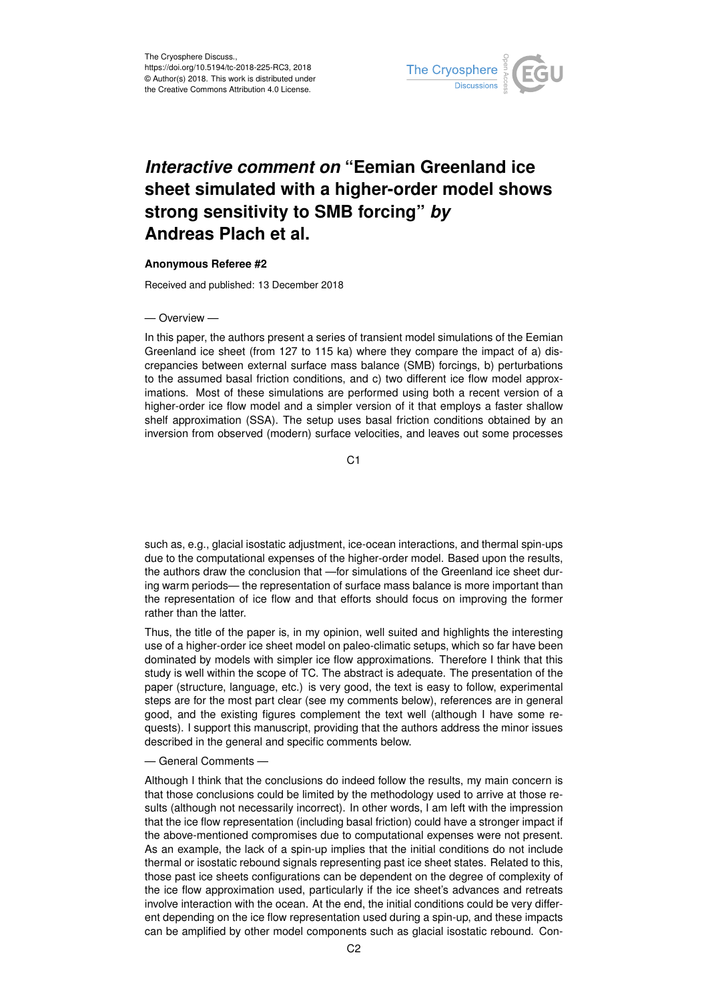

# *Interactive comment on* **"Eemian Greenland ice sheet simulated with a higher-order model shows strong sensitivity to SMB forcing"** *by* **Andreas Plach et al.**

#### **Anonymous Referee #2**

Received and published: 13 December 2018

#### — Overview —

In this paper, the authors present a series of transient model simulations of the Eemian Greenland ice sheet (from 127 to 115 ka) where they compare the impact of a) discrepancies between external surface mass balance (SMB) forcings, b) perturbations to the assumed basal friction conditions, and c) two different ice flow model approximations. Most of these simulations are performed using both a recent version of a higher-order ice flow model and a simpler version of it that employs a faster shallow shelf approximation (SSA). The setup uses basal friction conditions obtained by an inversion from observed (modern) surface velocities, and leaves out some processes

C<sub>1</sub>

such as, e.g., glacial isostatic adjustment, ice-ocean interactions, and thermal spin-ups due to the computational expenses of the higher-order model. Based upon the results, the authors draw the conclusion that —for simulations of the Greenland ice sheet during warm periods— the representation of surface mass balance is more important than the representation of ice flow and that efforts should focus on improving the former rather than the latter.

Thus, the title of the paper is, in my opinion, well suited and highlights the interesting use of a higher-order ice sheet model on paleo-climatic setups, which so far have been dominated by models with simpler ice flow approximations. Therefore I think that this study is well within the scope of TC. The abstract is adequate. The presentation of the paper (structure, language, etc.) is very good, the text is easy to follow, experimental steps are for the most part clear (see my comments below), references are in general good, and the existing figures complement the text well (although I have some requests). I support this manuscript, providing that the authors address the minor issues described in the general and specific comments below.

### — General Comments —

Although I think that the conclusions do indeed follow the results, my main concern is that those conclusions could be limited by the methodology used to arrive at those results (although not necessarily incorrect). In other words, I am left with the impression that the ice flow representation (including basal friction) could have a stronger impact if the above-mentioned compromises due to computational expenses were not present. As an example, the lack of a spin-up implies that the initial conditions do not include thermal or isostatic rebound signals representing past ice sheet states. Related to this, those past ice sheets configurations can be dependent on the degree of complexity of the ice flow approximation used, particularly if the ice sheet's advances and retreats involve interaction with the ocean. At the end, the initial conditions could be very different depending on the ice flow representation used during a spin-up, and these impacts can be amplified by other model components such as glacial isostatic rebound. Con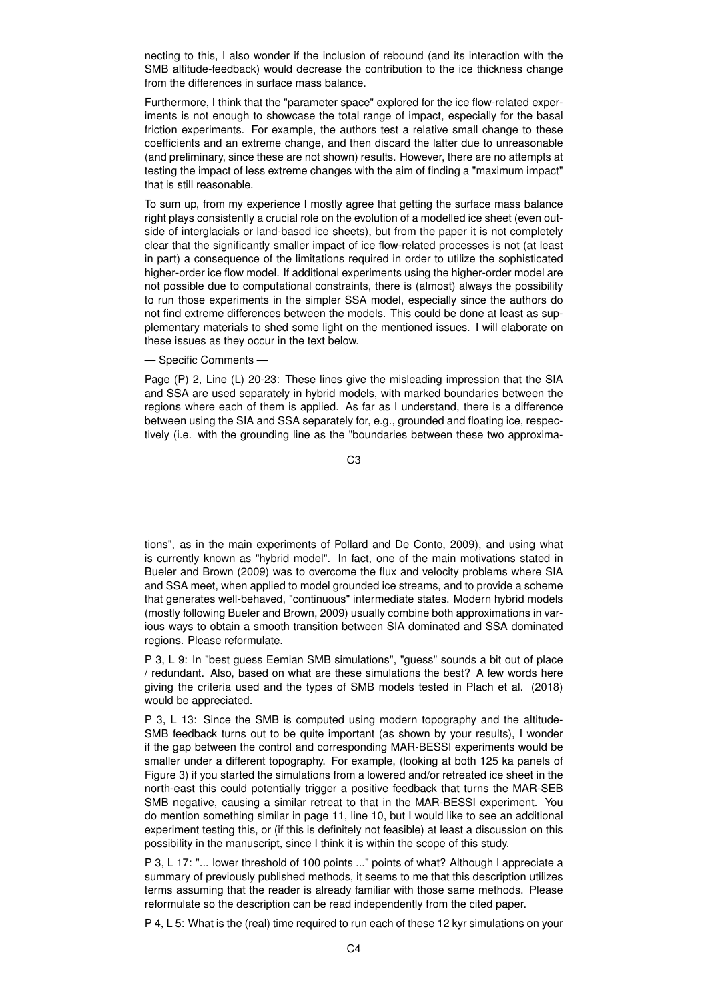necting to this, I also wonder if the inclusion of rebound (and its interaction with the SMB altitude-feedback) would decrease the contribution to the ice thickness change from the differences in surface mass balance.

Furthermore, I think that the "parameter space" explored for the ice flow-related experiments is not enough to showcase the total range of impact, especially for the basal friction experiments. For example, the authors test a relative small change to these coefficients and an extreme change, and then discard the latter due to unreasonable (and preliminary, since these are not shown) results. However, there are no attempts at testing the impact of less extreme changes with the aim of finding a "maximum impact" that is still reasonable.

To sum up, from my experience I mostly agree that getting the surface mass balance right plays consistently a crucial role on the evolution of a modelled ice sheet (even outside of interglacials or land-based ice sheets), but from the paper it is not completely clear that the significantly smaller impact of ice flow-related processes is not (at least in part) a consequence of the limitations required in order to utilize the sophisticated higher-order ice flow model. If additional experiments using the higher-order model are not possible due to computational constraints, there is (almost) always the possibility to run those experiments in the simpler SSA model, especially since the authors do not find extreme differences between the models. This could be done at least as supplementary materials to shed some light on the mentioned issues. I will elaborate on these issues as they occur in the text below.

## — Specific Comments —

Page (P) 2, Line (L) 20-23: These lines give the misleading impression that the SIA and SSA are used separately in hybrid models, with marked boundaries between the regions where each of them is applied. As far as I understand, there is a difference between using the SIA and SSA separately for, e.g., grounded and floating ice, respectively (i.e. with the grounding line as the "boundaries between these two approxima-

C3

tions", as in the main experiments of Pollard and De Conto, 2009), and using what is currently known as "hybrid model". In fact, one of the main motivations stated in Bueler and Brown (2009) was to overcome the flux and velocity problems where SIA and SSA meet, when applied to model grounded ice streams, and to provide a scheme that generates well-behaved, "continuous" intermediate states. Modern hybrid models (mostly following Bueler and Brown, 2009) usually combine both approximations in various ways to obtain a smooth transition between SIA dominated and SSA dominated regions. Please reformulate.

P 3, L 9: In "best guess Eemian SMB simulations", "guess" sounds a bit out of place / redundant. Also, based on what are these simulations the best? A few words here giving the criteria used and the types of SMB models tested in Plach et al. (2018) would be appreciated.

P 3, L 13: Since the SMB is computed using modern topography and the altitude-SMB feedback turns out to be quite important (as shown by your results), I wonder if the gap between the control and corresponding MAR-BESSI experiments would be smaller under a different topography. For example, (looking at both 125 ka panels of Figure 3) if you started the simulations from a lowered and/or retreated ice sheet in the north-east this could potentially trigger a positive feedback that turns the MAR-SEB SMB negative, causing a similar retreat to that in the MAR-BESSI experiment. You do mention something similar in page 11, line 10, but I would like to see an additional experiment testing this, or (if this is definitely not feasible) at least a discussion on this possibility in the manuscript, since I think it is within the scope of this study.

P 3, L 17: "... lower threshold of 100 points ..." points of what? Although I appreciate a summary of previously published methods, it seems to me that this description utilizes terms assuming that the reader is already familiar with those same methods. Please reformulate so the description can be read independently from the cited paper.

P 4, L 5: What is the (real) time required to run each of these 12 kyr simulations on your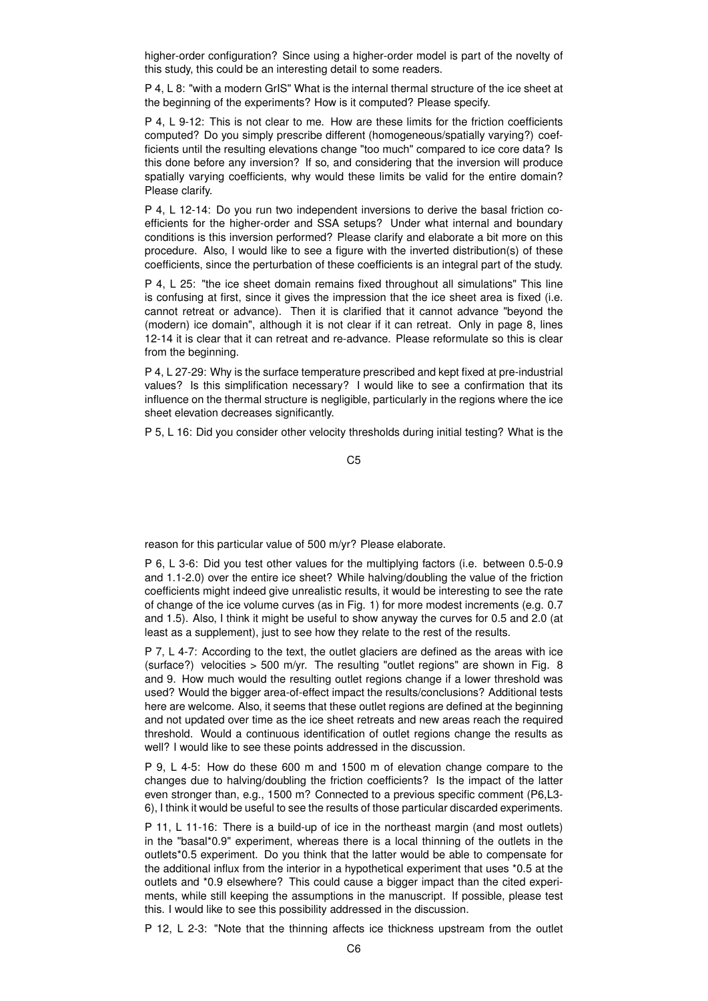higher-order configuration? Since using a higher-order model is part of the novelty of this study, this could be an interesting detail to some readers.

P 4, L 8: "with a modern GrIS" What is the internal thermal structure of the ice sheet at the beginning of the experiments? How is it computed? Please specify.

P 4, L 9-12: This is not clear to me. How are these limits for the friction coefficients computed? Do you simply prescribe different (homogeneous/spatially varying?) coefficients until the resulting elevations change "too much" compared to ice core data? Is this done before any inversion? If so, and considering that the inversion will produce spatially varying coefficients, why would these limits be valid for the entire domain? Please clarify.

P 4, L 12-14: Do you run two independent inversions to derive the basal friction coefficients for the higher-order and SSA setups? Under what internal and boundary conditions is this inversion performed? Please clarify and elaborate a bit more on this procedure. Also, I would like to see a figure with the inverted distribution(s) of these coefficients, since the perturbation of these coefficients is an integral part of the study.

P 4, L 25: "the ice sheet domain remains fixed throughout all simulations" This line is confusing at first, since it gives the impression that the ice sheet area is fixed (i.e. cannot retreat or advance). Then it is clarified that it cannot advance "beyond the (modern) ice domain", although it is not clear if it can retreat. Only in page 8, lines 12-14 it is clear that it can retreat and re-advance. Please reformulate so this is clear from the beginning.

P 4, L 27-29: Why is the surface temperature prescribed and kept fixed at pre-industrial values? Is this simplification necessary? I would like to see a confirmation that its influence on the thermal structure is negligible, particularly in the regions where the ice sheet elevation decreases significantly.

P 5, L 16: Did you consider other velocity thresholds during initial testing? What is the

C5

reason for this particular value of 500 m/yr? Please elaborate.

P 6, L 3-6: Did you test other values for the multiplying factors (i.e. between 0.5-0.9 and 1.1-2.0) over the entire ice sheet? While halving/doubling the value of the friction coefficients might indeed give unrealistic results, it would be interesting to see the rate of change of the ice volume curves (as in Fig. 1) for more modest increments (e.g. 0.7 and 1.5). Also, I think it might be useful to show anyway the curves for 0.5 and 2.0 (at least as a supplement), just to see how they relate to the rest of the results.

P 7, L 4-7: According to the text, the outlet glaciers are defined as the areas with ice (surface?) velocities > 500 m/yr. The resulting "outlet regions" are shown in Fig. 8 and 9. How much would the resulting outlet regions change if a lower threshold was used? Would the bigger area-of-effect impact the results/conclusions? Additional tests here are welcome. Also, it seems that these outlet regions are defined at the beginning and not updated over time as the ice sheet retreats and new areas reach the required threshold. Would a continuous identification of outlet regions change the results as well? I would like to see these points addressed in the discussion.

P 9, L 4-5: How do these 600 m and 1500 m of elevation change compare to the changes due to halving/doubling the friction coefficients? Is the impact of the latter even stronger than, e.g., 1500 m? Connected to a previous specific comment (P6,L3- 6), I think it would be useful to see the results of those particular discarded experiments.

P 11, L 11-16: There is a build-up of ice in the northeast margin (and most outlets) in the "basal\*0.9" experiment, whereas there is a local thinning of the outlets in the outlets\*0.5 experiment. Do you think that the latter would be able to compensate for the additional influx from the interior in a hypothetical experiment that uses \*0.5 at the outlets and \*0.9 elsewhere? This could cause a bigger impact than the cited experiments, while still keeping the assumptions in the manuscript. If possible, please test this. I would like to see this possibility addressed in the discussion.

P 12, L 2-3: "Note that the thinning affects ice thickness upstream from the outlet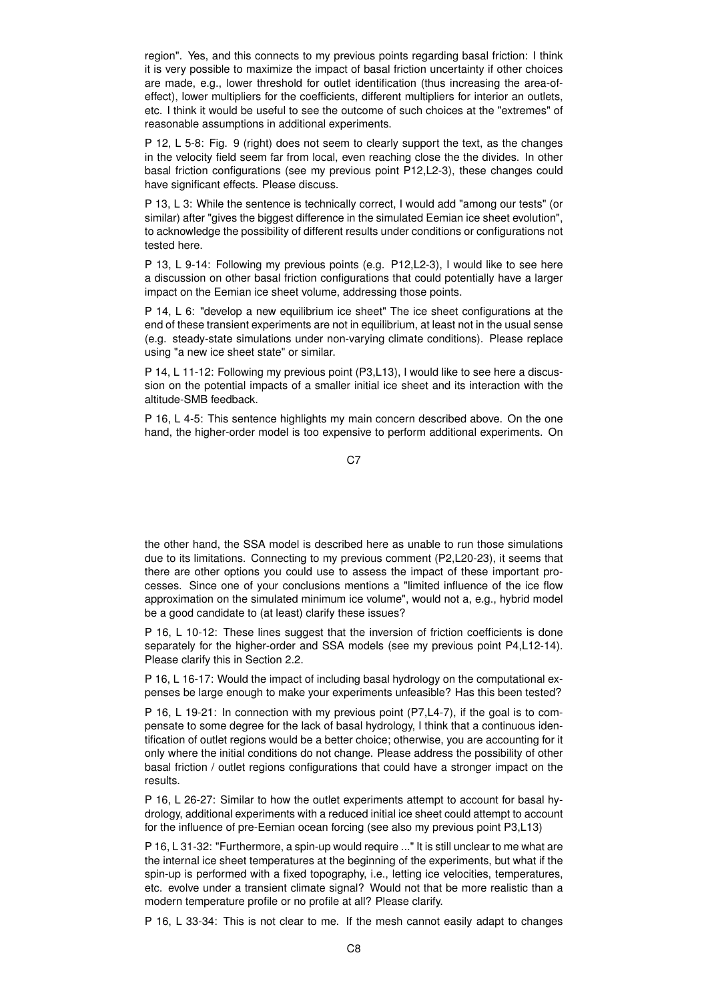region". Yes, and this connects to my previous points regarding basal friction: I think it is very possible to maximize the impact of basal friction uncertainty if other choices are made, e.g., lower threshold for outlet identification (thus increasing the area-ofeffect), lower multipliers for the coefficients, different multipliers for interior an outlets, etc. I think it would be useful to see the outcome of such choices at the "extremes" of reasonable assumptions in additional experiments.

P 12, L 5-8: Fig. 9 (right) does not seem to clearly support the text, as the changes in the velocity field seem far from local, even reaching close the the divides. In other basal friction configurations (see my previous point P12,L2-3), these changes could have significant effects. Please discuss.

P 13, L 3: While the sentence is technically correct, I would add "among our tests" (or similar) after "gives the biggest difference in the simulated Eemian ice sheet evolution", to acknowledge the possibility of different results under conditions or configurations not tested here.

P 13, L 9-14: Following my previous points (e.g. P12,L2-3), I would like to see here a discussion on other basal friction configurations that could potentially have a larger impact on the Eemian ice sheet volume, addressing those points.

P 14, L 6: "develop a new equilibrium ice sheet" The ice sheet configurations at the end of these transient experiments are not in equilibrium, at least not in the usual sense (e.g. steady-state simulations under non-varying climate conditions). Please replace using "a new ice sheet state" or similar.

P 14, L 11-12: Following my previous point (P3,L13), I would like to see here a discussion on the potential impacts of a smaller initial ice sheet and its interaction with the altitude-SMB feedback.

P 16, L 4-5: This sentence highlights my main concern described above. On the one hand, the higher-order model is too expensive to perform additional experiments. On

C<sub>7</sub>

the other hand, the SSA model is described here as unable to run those simulations due to its limitations. Connecting to my previous comment (P2,L20-23), it seems that there are other options you could use to assess the impact of these important processes. Since one of your conclusions mentions a "limited influence of the ice flow approximation on the simulated minimum ice volume", would not a, e.g., hybrid model be a good candidate to (at least) clarify these issues?

P 16, L 10-12: These lines suggest that the inversion of friction coefficients is done separately for the higher-order and SSA models (see my previous point P4,L12-14). Please clarify this in Section 2.2.

P 16, L 16-17: Would the impact of including basal hydrology on the computational expenses be large enough to make your experiments unfeasible? Has this been tested?

P 16, L 19-21: In connection with my previous point (P7,L4-7), if the goal is to compensate to some degree for the lack of basal hydrology, I think that a continuous identification of outlet regions would be a better choice; otherwise, you are accounting for it only where the initial conditions do not change. Please address the possibility of other basal friction / outlet regions configurations that could have a stronger impact on the results.

P 16, L 26-27: Similar to how the outlet experiments attempt to account for basal hydrology, additional experiments with a reduced initial ice sheet could attempt to account for the influence of pre-Eemian ocean forcing (see also my previous point P3,L13)

P 16, L 31-32: "Furthermore, a spin-up would require ..." It is still unclear to me what are the internal ice sheet temperatures at the beginning of the experiments, but what if the spin-up is performed with a fixed topography, i.e., letting ice velocities, temperatures, etc. evolve under a transient climate signal? Would not that be more realistic than a modern temperature profile or no profile at all? Please clarify.

P 16, L 33-34: This is not clear to me. If the mesh cannot easily adapt to changes